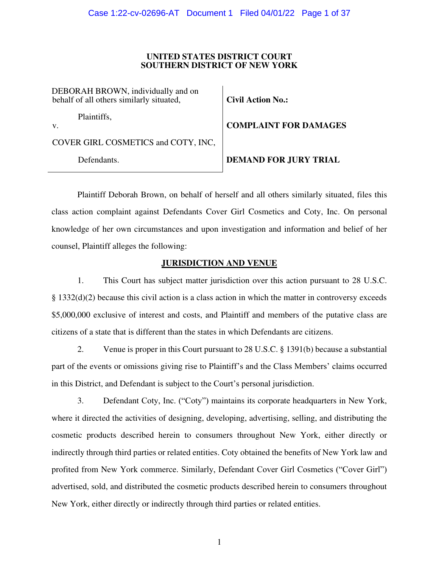## **UNITED STATES DISTRICT COURT SOUTHERN DISTRICT OF NEW YORK**

DEBORAH BROWN, individually and on behalf of all others similarly situated,

Plaintiffs,

v.

COVER GIRL COSMETICS and COTY, INC,

Defendants.

**Civil Action No.:** 

**COMPLAINT FOR DAMAGES** 

**DEMAND FOR JURY TRIAL** 

Plaintiff Deborah Brown, on behalf of herself and all others similarly situated, files this class action complaint against Defendants Cover Girl Cosmetics and Coty, Inc. On personal knowledge of her own circumstances and upon investigation and information and belief of her counsel, Plaintiff alleges the following:

# **JURISDICTION AND VENUE**

1. This Court has subject matter jurisdiction over this action pursuant to 28 U.S.C. § 1332(d)(2) because this civil action is a class action in which the matter in controversy exceeds \$5,000,000 exclusive of interest and costs, and Plaintiff and members of the putative class are citizens of a state that is different than the states in which Defendants are citizens.

2. Venue is proper in this Court pursuant to 28 U.S.C. § 1391(b) because a substantial part of the events or omissions giving rise to Plaintiff's and the Class Members' claims occurred in this District, and Defendant is subject to the Court's personal jurisdiction.

3. Defendant Coty, Inc. ("Coty") maintains its corporate headquarters in New York, where it directed the activities of designing, developing, advertising, selling, and distributing the cosmetic products described herein to consumers throughout New York, either directly or indirectly through third parties or related entities. Coty obtained the benefits of New York law and profited from New York commerce. Similarly, Defendant Cover Girl Cosmetics ("Cover Girl") advertised, sold, and distributed the cosmetic products described herein to consumers throughout New York, either directly or indirectly through third parties or related entities.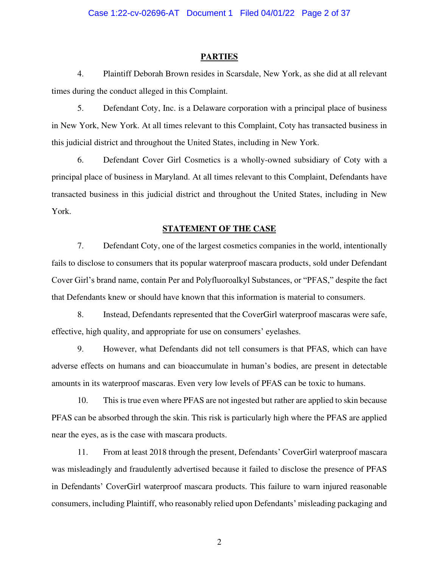#### **PARTIES**

4. Plaintiff Deborah Brown resides in Scarsdale, New York, as she did at all relevant times during the conduct alleged in this Complaint.

5. Defendant Coty, Inc. is a Delaware corporation with a principal place of business in New York, New York. At all times relevant to this Complaint, Coty has transacted business in this judicial district and throughout the United States, including in New York.

6. Defendant Cover Girl Cosmetics is a wholly-owned subsidiary of Coty with a principal place of business in Maryland. At all times relevant to this Complaint, Defendants have transacted business in this judicial district and throughout the United States, including in New York.

#### **STATEMENT OF THE CASE**

7. Defendant Coty, one of the largest cosmetics companies in the world, intentionally fails to disclose to consumers that its popular waterproof mascara products, sold under Defendant Cover Girl's brand name, contain Per and Polyfluoroalkyl Substances, or "PFAS," despite the fact that Defendants knew or should have known that this information is material to consumers.

8. Instead, Defendants represented that the CoverGirl waterproof mascaras were safe, effective, high quality, and appropriate for use on consumers' eyelashes.

9. However, what Defendants did not tell consumers is that PFAS, which can have adverse effects on humans and can bioaccumulate in human's bodies, are present in detectable amounts in its waterproof mascaras. Even very low levels of PFAS can be toxic to humans.

10. This is true even where PFAS are not ingested but rather are applied to skin because PFAS can be absorbed through the skin. This risk is particularly high where the PFAS are applied near the eyes, as is the case with mascara products.

11. From at least 2018 through the present, Defendants' CoverGirl waterproof mascara was misleadingly and fraudulently advertised because it failed to disclose the presence of PFAS in Defendants' CoverGirl waterproof mascara products. This failure to warn injured reasonable consumers, including Plaintiff, who reasonably relied upon Defendants' misleading packaging and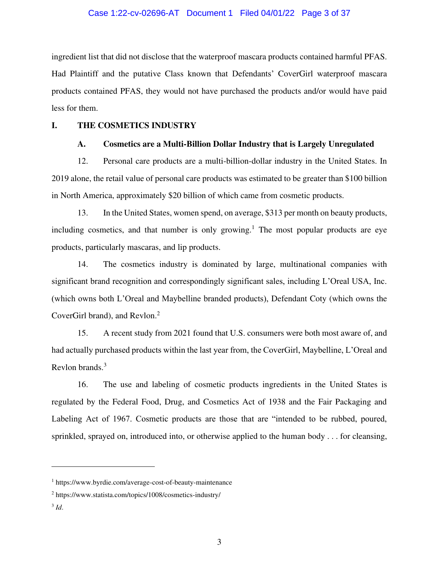#### Case 1:22-cv-02696-AT Document 1 Filed 04/01/22 Page 3 of 37

ingredient list that did not disclose that the waterproof mascara products contained harmful PFAS. Had Plaintiff and the putative Class known that Defendants' CoverGirl waterproof mascara products contained PFAS, they would not have purchased the products and/or would have paid less for them.

#### **I. THE COSMETICS INDUSTRY**

#### **A. Cosmetics are a Multi-Billion Dollar Industry that is Largely Unregulated**

12. Personal care products are a multi-billion-dollar industry in the United States. In 2019 alone, the retail value of personal care products was estimated to be greater than \$100 billion in North America, approximately \$20 billion of which came from cosmetic products.

13. In the United States, women spend, on average, \$313 per month on beauty products, including cosmetics, and that number is only growing.<sup>1</sup> The most popular products are eye products, particularly mascaras, and lip products.

14. The cosmetics industry is dominated by large, multinational companies with significant brand recognition and correspondingly significant sales, including L'Oreal USA, Inc. (which owns both L'Oreal and Maybelline branded products), Defendant Coty (which owns the CoverGirl brand), and Revlon.<sup>2</sup>

15. A recent study from 2021 found that U.S. consumers were both most aware of, and had actually purchased products within the last year from, the CoverGirl, Maybelline, L'Oreal and Revlon brands.<sup>3</sup>

16. The use and labeling of cosmetic products ingredients in the United States is regulated by the Federal Food, Drug, and Cosmetics Act of 1938 and the Fair Packaging and Labeling Act of 1967. Cosmetic products are those that are "intended to be rubbed, poured, sprinkled, sprayed on, introduced into, or otherwise applied to the human body . . . for cleansing,

<sup>1</sup> https://www.byrdie.com/average-cost-of-beauty-maintenance

<sup>2</sup> https://www.statista.com/topics/1008/cosmetics-industry/

<sup>3</sup> *Id*.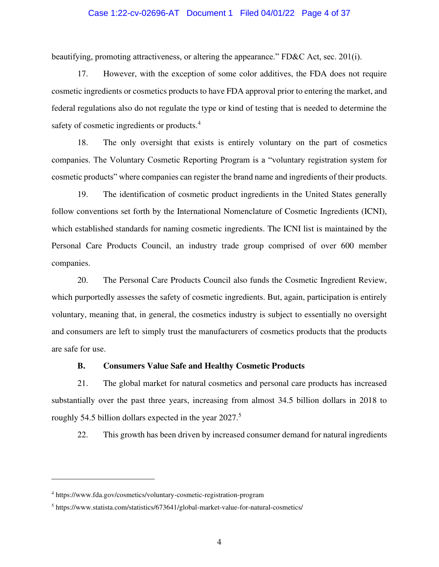#### Case 1:22-cv-02696-AT Document 1 Filed 04/01/22 Page 4 of 37

beautifying, promoting attractiveness, or altering the appearance." FD&C Act, sec. 201(i).

17. However, with the exception of some color additives, the FDA does not require cosmetic ingredients or cosmetics products to have FDA approval prior to entering the market, and federal regulations also do not regulate the type or kind of testing that is needed to determine the safety of cosmetic ingredients or products.<sup>4</sup>

18. The only oversight that exists is entirely voluntary on the part of cosmetics companies. The Voluntary Cosmetic Reporting Program is a "voluntary registration system for cosmetic products" where companies can register the brand name and ingredients of their products.

19. The identification of cosmetic product ingredients in the United States generally follow conventions set forth by the International Nomenclature of Cosmetic Ingredients (ICNI), which established standards for naming cosmetic ingredients. The ICNI list is maintained by the Personal Care Products Council, an industry trade group comprised of over 600 member companies.

20. The Personal Care Products Council also funds the Cosmetic Ingredient Review, which purportedly assesses the safety of cosmetic ingredients. But, again, participation is entirely voluntary, meaning that, in general, the cosmetics industry is subject to essentially no oversight and consumers are left to simply trust the manufacturers of cosmetics products that the products are safe for use.

## **B. Consumers Value Safe and Healthy Cosmetic Products**

21. The global market for natural cosmetics and personal care products has increased substantially over the past three years, increasing from almost 34.5 billion dollars in 2018 to roughly 54.5 billion dollars expected in the year 2027.<sup>5</sup>

22. This growth has been driven by increased consumer demand for natural ingredients

<sup>4</sup> https://www.fda.gov/cosmetics/voluntary-cosmetic-registration-program

<sup>&</sup>lt;sup>5</sup> https://www.statista.com/statistics/673641/global-market-value-for-natural-cosmetics/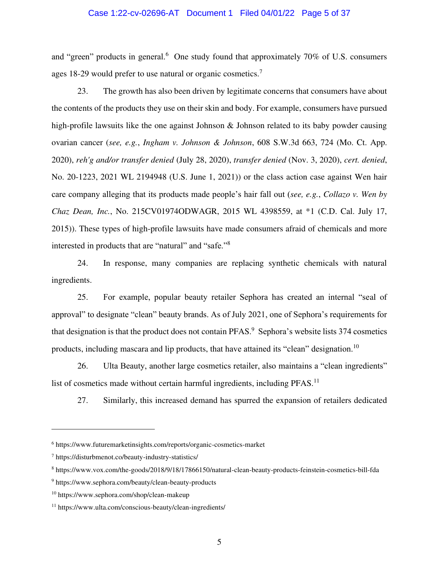## Case 1:22-cv-02696-AT Document 1 Filed 04/01/22 Page 5 of 37

and "green" products in general.<sup>6</sup> One study found that approximately  $70\%$  of U.S. consumers ages 18-29 would prefer to use natural or organic cosmetics.<sup>7</sup>

23. The growth has also been driven by legitimate concerns that consumers have about the contents of the products they use on their skin and body. For example, consumers have pursued high-profile lawsuits like the one against Johnson & Johnson related to its baby powder causing ovarian cancer (*see, e.g.*, *Ingham v. Johnson & Johnson*, 608 S.W.3d 663, 724 (Mo. Ct. App. 2020), *reh'g and/or transfer denied* (July 28, 2020), *transfer denied* (Nov. 3, 2020), *cert. denied*, No. 20-1223, 2021 WL 2194948 (U.S. June 1, 2021)) or the class action case against Wen hair care company alleging that its products made people's hair fall out (*see, e.g.*, *Collazo v. Wen by Chaz Dean, Inc.*, No. 215CV01974ODWAGR, 2015 WL 4398559, at \*1 (C.D. Cal. July 17, 2015)). These types of high-profile lawsuits have made consumers afraid of chemicals and more interested in products that are "natural" and "safe."<sup>8</sup>

24. In response, many companies are replacing synthetic chemicals with natural ingredients.

25. For example, popular beauty retailer Sephora has created an internal "seal of approval" to designate "clean" beauty brands. As of July 2021, one of Sephora's requirements for that designation is that the product does not contain PFAS.<sup>9</sup> Sephora's website lists 374 cosmetics products, including mascara and lip products, that have attained its "clean" designation.<sup>10</sup>

26. Ulta Beauty, another large cosmetics retailer, also maintains a "clean ingredients" list of cosmetics made without certain harmful ingredients, including  $PFAST^{11}$ 

27. Similarly, this increased demand has spurred the expansion of retailers dedicated

<sup>6</sup> https://www.futuremarketinsights.com/reports/organic-cosmetics-market

<sup>7</sup> https://disturbmenot.co/beauty-industry-statistics/

<sup>8</sup> https://www.vox.com/the-goods/2018/9/18/17866150/natural-clean-beauty-products-feinstein-cosmetics-bill-fda

<sup>9</sup> https://www.sephora.com/beauty/clean-beauty-products

<sup>10</sup> https://www.sephora.com/shop/clean-makeup

<sup>11</sup> https://www.ulta.com/conscious-beauty/clean-ingredients/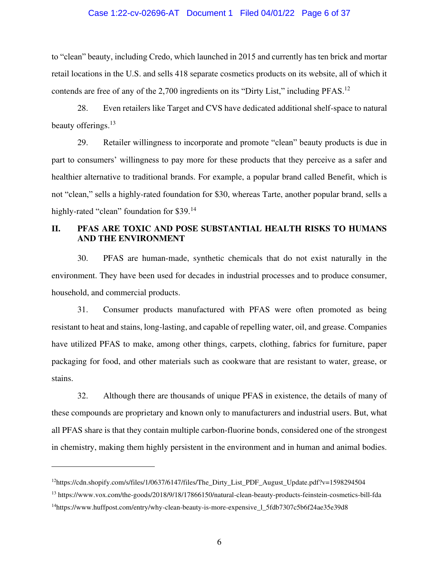## Case 1:22-cv-02696-AT Document 1 Filed 04/01/22 Page 6 of 37

to "clean" beauty, including Credo, which launched in 2015 and currently has ten brick and mortar retail locations in the U.S. and sells 418 separate cosmetics products on its website, all of which it contends are free of any of the 2,700 ingredients on its "Dirty List," including PFAS.<sup>12</sup>

28. Even retailers like Target and CVS have dedicated additional shelf-space to natural beauty offerings.<sup>13</sup>

29. Retailer willingness to incorporate and promote "clean" beauty products is due in part to consumers' willingness to pay more for these products that they perceive as a safer and healthier alternative to traditional brands. For example, a popular brand called Benefit, which is not "clean," sells a highly-rated foundation for \$30, whereas Tarte, another popular brand, sells a highly-rated "clean" foundation for \$39.<sup>14</sup>

# **II. PFAS ARE TOXIC AND POSE SUBSTANTIAL HEALTH RISKS TO HUMANS AND THE ENVIRONMENT**

30. PFAS are human-made, synthetic chemicals that do not exist naturally in the environment. They have been used for decades in industrial processes and to produce consumer, household, and commercial products.

31. Consumer products manufactured with PFAS were often promoted as being resistant to heat and stains, long-lasting, and capable of repelling water, oil, and grease. Companies have utilized PFAS to make, among other things, carpets, clothing, fabrics for furniture, paper packaging for food, and other materials such as cookware that are resistant to water, grease, or stains.

32. Although there are thousands of unique PFAS in existence, the details of many of these compounds are proprietary and known only to manufacturers and industrial users. But, what all PFAS share is that they contain multiple carbon-fluorine bonds, considered one of the strongest in chemistry, making them highly persistent in the environment and in human and animal bodies.

<sup>&</sup>lt;sup>12</sup>https://cdn.shopify.com/s/files/1/0637/6147/files/The\_Dirty\_List\_PDF\_August\_Update.pdf?v=1598294504

<sup>13</sup> https://www.vox.com/the-goods/2018/9/18/17866150/natural-clean-beauty-products-feinstein-cosmetics-bill-fda

<sup>14</sup>https://www.huffpost.com/entry/why-clean-beauty-is-more-expensive\_l\_5fdb7307c5b6f24ae35e39d8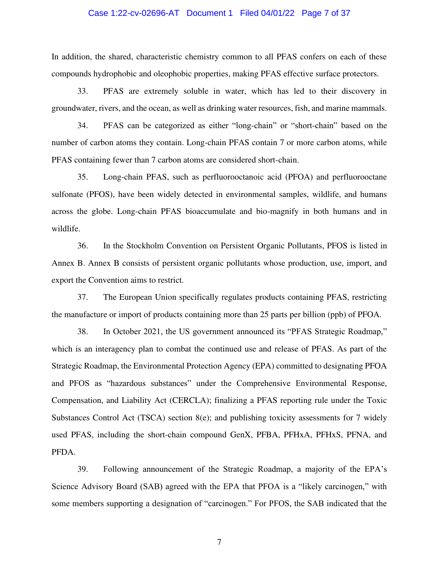#### Case 1:22-cv-02696-AT Document 1 Filed 04/01/22 Page 7 of 37

In addition, the shared, characteristic chemistry common to all PFAS confers on each of these compounds hydrophobic and oleophobic properties, making PFAS effective surface protectors.

33. PFAS are extremely soluble in water, which has led to their discovery in groundwater, rivers, and the ocean, as well as drinking water resources, fish, and marine mammals.

34. PFAS can be categorized as either "long-chain" or "short-chain" based on the number of carbon atoms they contain. Long-chain PFAS contain 7 or more carbon atoms, while PFAS containing fewer than 7 carbon atoms are considered short-chain.

35. Long-chain PFAS, such as perfluorooctanoic acid (PFOA) and perfluorooctane sulfonate (PFOS), have been widely detected in environmental samples, wildlife, and humans across the globe. Long-chain PFAS bioaccumulate and bio-magnify in both humans and in wildlife.

36. In the Stockholm Convention on Persistent Organic Pollutants, PFOS is listed in Annex B. Annex B consists of persistent organic pollutants whose production, use, import, and export the Convention aims to restrict.

37. The European Union specifically regulates products containing PFAS, restricting the manufacture or import of products containing more than 25 parts per billion (ppb) of PFOA.

38. In October 2021, the US government announced its "PFAS Strategic Roadmap," which is an interagency plan to combat the continued use and release of PFAS. As part of the Strategic Roadmap, the Environmental Protection Agency (EPA) committed to designating PFOA and PFOS as "hazardous substances" under the Comprehensive Environmental Response, Compensation, and Liability Act (CERCLA); finalizing a PFAS reporting rule under the Toxic Substances Control Act (TSCA) section 8(e); and publishing toxicity assessments for 7 widely used PFAS, including the short-chain compound GenX, PFBA, PFHxA, PFHxS, PFNA, and PFDA.

39. Following announcement of the Strategic Roadmap, a majority of the EPA's Science Advisory Board (SAB) agreed with the EPA that PFOA is a "likely carcinogen," with some members supporting a designation of "carcinogen." For PFOS, the SAB indicated that the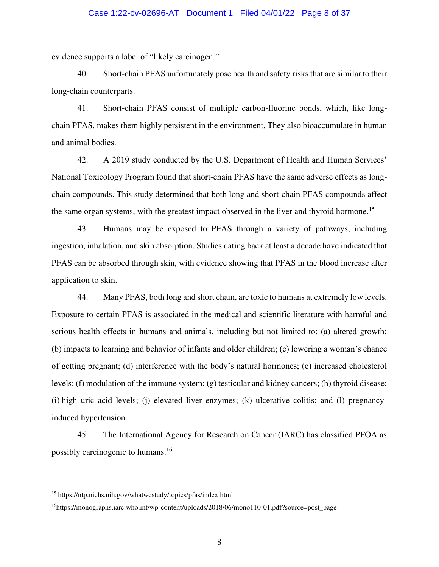#### Case 1:22-cv-02696-AT Document 1 Filed 04/01/22 Page 8 of 37

evidence supports a label of "likely carcinogen."

40. Short-chain PFAS unfortunately pose health and safety risks that are similar to their long-chain counterparts.

41. Short-chain PFAS consist of multiple carbon-fluorine bonds, which, like longchain PFAS, makes them highly persistent in the environment. They also bioaccumulate in human and animal bodies.

42. A 2019 study conducted by the U.S. Department of Health and Human Services' National Toxicology Program found that short-chain PFAS have the same adverse effects as longchain compounds. This study determined that both long and short-chain PFAS compounds affect the same organ systems, with the greatest impact observed in the liver and thyroid hormone.<sup>15</sup>

43. Humans may be exposed to PFAS through a variety of pathways, including ingestion, inhalation, and skin absorption. Studies dating back at least a decade have indicated that PFAS can be absorbed through skin, with evidence showing that PFAS in the blood increase after application to skin.

44. Many PFAS, both long and short chain, are toxic to humans at extremely low levels. Exposure to certain PFAS is associated in the medical and scientific literature with harmful and serious health effects in humans and animals, including but not limited to: (a) altered growth; (b) impacts to learning and behavior of infants and older children; (c) lowering a woman's chance of getting pregnant; (d) interference with the body's natural hormones; (e) increased cholesterol levels; (f) modulation of the immune system; (g) testicular and kidney cancers; (h) thyroid disease; (i) high uric acid levels; (j) elevated liver enzymes; (k) ulcerative colitis; and (l) pregnancyinduced hypertension.

45. The International Agency for Research on Cancer (IARC) has classified PFOA as possibly carcinogenic to humans.<sup>16</sup>

<sup>15</sup> https://ntp.niehs.nih.gov/whatwestudy/topics/pfas/index.html

<sup>16</sup>https://monographs.iarc.who.int/wp-content/uploads/2018/06/mono110-01.pdf?source=post\_page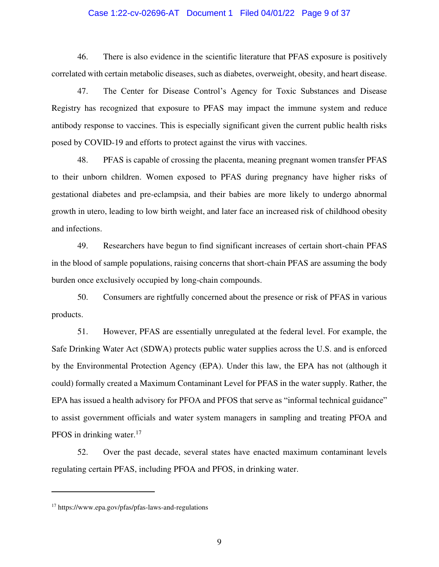#### Case 1:22-cv-02696-AT Document 1 Filed 04/01/22 Page 9 of 37

46. There is also evidence in the scientific literature that PFAS exposure is positively correlated with certain metabolic diseases, such as diabetes, overweight, obesity, and heart disease.

47. The Center for Disease Control's Agency for Toxic Substances and Disease Registry has recognized that exposure to PFAS may impact the immune system and reduce antibody response to vaccines. This is especially significant given the current public health risks posed by COVID-19 and efforts to protect against the virus with vaccines.

48. PFAS is capable of crossing the placenta, meaning pregnant women transfer PFAS to their unborn children. Women exposed to PFAS during pregnancy have higher risks of gestational diabetes and pre-eclampsia, and their babies are more likely to undergo abnormal growth in utero, leading to low birth weight, and later face an increased risk of childhood obesity and infections.

49. Researchers have begun to find significant increases of certain short-chain PFAS in the blood of sample populations, raising concerns that short-chain PFAS are assuming the body burden once exclusively occupied by long-chain compounds.

50. Consumers are rightfully concerned about the presence or risk of PFAS in various products.

51. However, PFAS are essentially unregulated at the federal level. For example, the Safe Drinking Water Act (SDWA) protects public water supplies across the U.S. and is enforced by the Environmental Protection Agency (EPA). Under this law, the EPA has not (although it could) formally created a Maximum Contaminant Level for PFAS in the water supply. Rather, the EPA has issued a health advisory for PFOA and PFOS that serve as "informal technical guidance" to assist government officials and water system managers in sampling and treating PFOA and PFOS in drinking water. $17$ 

52. Over the past decade, several states have enacted maximum contaminant levels regulating certain PFAS, including PFOA and PFOS, in drinking water.

<sup>17</sup> https://www.epa.gov/pfas/pfas-laws-and-regulations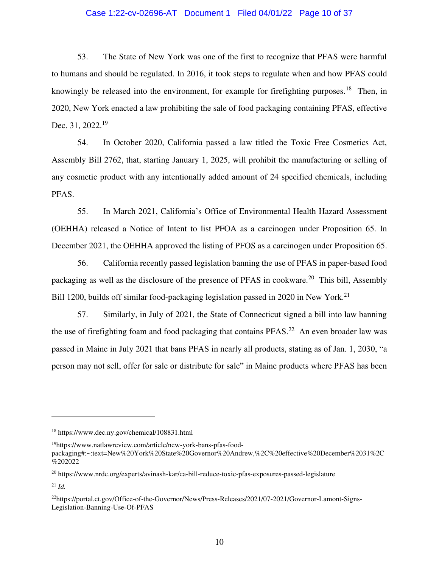### Case 1:22-cv-02696-AT Document 1 Filed 04/01/22 Page 10 of 37

53. The State of New York was one of the first to recognize that PFAS were harmful to humans and should be regulated. In 2016, it took steps to regulate when and how PFAS could knowingly be released into the environment, for example for firefighting purposes.<sup>18</sup> Then, in 2020, New York enacted a law prohibiting the sale of food packaging containing PFAS, effective Dec. 31, 2022.<sup>19</sup>

54. In October 2020, California passed a law titled the Toxic Free Cosmetics Act, Assembly Bill 2762, that, starting January 1, 2025, will prohibit the manufacturing or selling of any cosmetic product with any intentionally added amount of 24 specified chemicals, including PFAS.

55. In March 2021, California's Office of Environmental Health Hazard Assessment (OEHHA) released a Notice of Intent to list PFOA as a carcinogen under Proposition 65. In December 2021, the OEHHA approved the listing of PFOS as a carcinogen under Proposition 65.

56. California recently passed legislation banning the use of PFAS in paper-based food packaging as well as the disclosure of the presence of PFAS in cookware.<sup>20</sup> This bill, Assembly Bill 1200, builds off similar food-packaging legislation passed in 2020 in New York.<sup>21</sup>

57. Similarly, in July of 2021, the State of Connecticut signed a bill into law banning the use of firefighting foam and food packaging that contains  $PFAS<sup>22</sup>$  An even broader law was passed in Maine in July 2021 that bans PFAS in nearly all products, stating as of Jan. 1, 2030, "a person may not sell, offer for sale or distribute for sale" in Maine products where PFAS has been

<sup>18</sup> https://www.dec.ny.gov/chemical/108831.html

<sup>19</sup>https://www.natlawreview.com/article/new-york-bans-pfas-food-

packaging#:~:text=New%20York%20State%20Governor%20Andrew,%2C%20effective%20December%2031%2C %202022

<sup>20</sup> https://www.nrdc.org/experts/avinash-kar/ca-bill-reduce-toxic-pfas-exposures-passed-legislature

<sup>21</sup> *Id.*

<sup>22</sup>https://portal.ct.gov/Office-of-the-Governor/News/Press-Releases/2021/07-2021/Governor-Lamont-Signs-Legislation-Banning-Use-Of-PFAS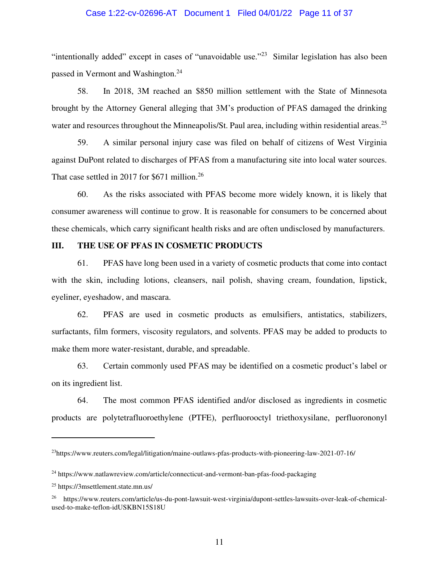## Case 1:22-cv-02696-AT Document 1 Filed 04/01/22 Page 11 of 37

"intentionally added" except in cases of "unavoidable use."<sup>23</sup> Similar legislation has also been passed in Vermont and Washington.<sup>24</sup>

58. In 2018, 3M reached an \$850 million settlement with the State of Minnesota brought by the Attorney General alleging that 3M's production of PFAS damaged the drinking water and resources throughout the Minneapolis/St. Paul area, including within residential areas.<sup>25</sup>

59. A similar personal injury case was filed on behalf of citizens of West Virginia against DuPont related to discharges of PFAS from a manufacturing site into local water sources. That case settled in 2017 for \$671 million.<sup>26</sup>

60. As the risks associated with PFAS become more widely known, it is likely that consumer awareness will continue to grow. It is reasonable for consumers to be concerned about these chemicals, which carry significant health risks and are often undisclosed by manufacturers.

## **III. THE USE OF PFAS IN COSMETIC PRODUCTS**

61. PFAS have long been used in a variety of cosmetic products that come into contact with the skin, including lotions, cleansers, nail polish, shaving cream, foundation, lipstick, eyeliner, eyeshadow, and mascara.

62. PFAS are used in cosmetic products as emulsifiers, antistatics, stabilizers, surfactants, film formers, viscosity regulators, and solvents. PFAS may be added to products to make them more water-resistant, durable, and spreadable.

63. Certain commonly used PFAS may be identified on a cosmetic product's label or on its ingredient list.

64. The most common PFAS identified and/or disclosed as ingredients in cosmetic products are polytetrafluoroethylene (PTFE), perfluorooctyl triethoxysilane, perfluorononyl

<sup>23</sup>https://www.reuters.com/legal/litigation/maine-outlaws-pfas-products-with-pioneering-law-2021-07-16/

<sup>&</sup>lt;sup>24</sup> https://www.natlawreview.com/article/connecticut-and-vermont-ban-pfas-food-packaging

<sup>25</sup> https://3msettlement.state.mn.us/

<sup>26</sup> https://www.reuters.com/article/us-du-pont-lawsuit-west-virginia/dupont-settles-lawsuits-over-leak-of-chemicalused-to-make-teflon-idUSKBN15S18U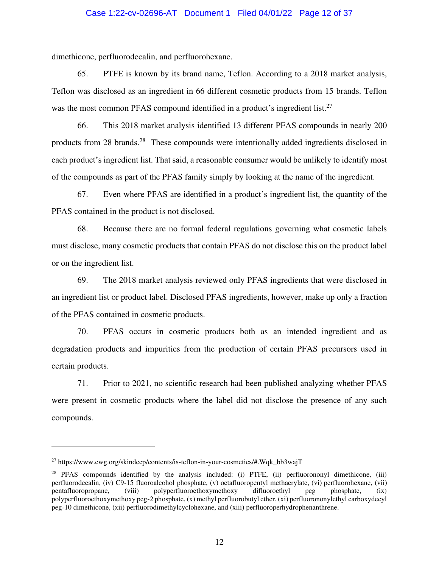### Case 1:22-cv-02696-AT Document 1 Filed 04/01/22 Page 12 of 37

dimethicone, perfluorodecalin, and perfluorohexane.

65. PTFE is known by its brand name, Teflon. According to a 2018 market analysis, Teflon was disclosed as an ingredient in 66 different cosmetic products from 15 brands. Teflon was the most common PFAS compound identified in a product's ingredient list.<sup>27</sup>

66. This 2018 market analysis identified 13 different PFAS compounds in nearly 200 products from 28 brands.<sup>28</sup> These compounds were intentionally added ingredients disclosed in each product's ingredient list. That said, a reasonable consumer would be unlikely to identify most of the compounds as part of the PFAS family simply by looking at the name of the ingredient.

67. Even where PFAS are identified in a product's ingredient list, the quantity of the PFAS contained in the product is not disclosed.

68. Because there are no formal federal regulations governing what cosmetic labels must disclose, many cosmetic products that contain PFAS do not disclose this on the product label or on the ingredient list.

69. The 2018 market analysis reviewed only PFAS ingredients that were disclosed in an ingredient list or product label. Disclosed PFAS ingredients, however, make up only a fraction of the PFAS contained in cosmetic products.

70. PFAS occurs in cosmetic products both as an intended ingredient and as degradation products and impurities from the production of certain PFAS precursors used in certain products.

71. Prior to 2021, no scientific research had been published analyzing whether PFAS were present in cosmetic products where the label did not disclose the presence of any such compounds.

<sup>27</sup> https://www.ewg.org/skindeep/contents/is-teflon-in-your-cosmetics/#.Wqk\_bb3wajT

<sup>&</sup>lt;sup>28</sup> PFAS compounds identified by the analysis included: (i) PTFE, (ii) perfluorononyl dimethicone, (iii) perfluorodecalin, (iv) C9-15 fluoroalcohol phosphate, (v) octafluoropentyl methacrylate, (vi) perfluorohexane, (vii) pentafluoropropane, (viii) polyperfluoroethoxymethoxy difluoroethyl peg phosphate, (ix) pentafluoropropane, (viii) polyperfluoroethoxymethoxy difluoroethyl peg phosphate, (ix) polyperfluoroethoxymethoxy peg-2 phosphate, (x) methyl perfluorobutyl ether, (xi) perfluorononylethyl carboxydecyl peg-10 dimethicone, (xii) perfluorodimethylcyclohexane, and (xiii) perfluoroperhydrophenanthrene.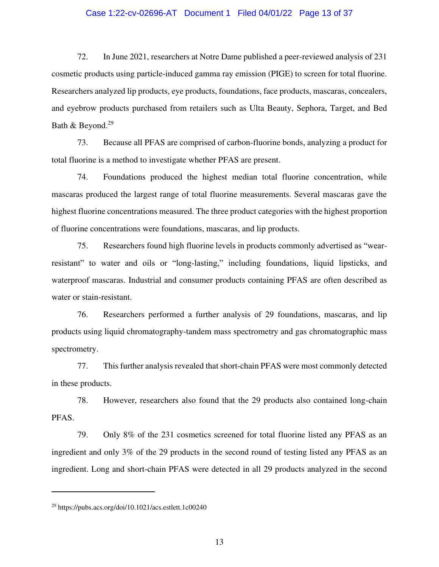#### Case 1:22-cv-02696-AT Document 1 Filed 04/01/22 Page 13 of 37

72. In June 2021, researchers at Notre Dame published a peer-reviewed analysis of 231 cosmetic products using particle-induced gamma ray emission (PIGE) to screen for total fluorine. Researchers analyzed lip products, eye products, foundations, face products, mascaras, concealers, and eyebrow products purchased from retailers such as Ulta Beauty, Sephora, Target, and Bed Bath & Beyond.<sup>29</sup>

73. Because all PFAS are comprised of carbon-fluorine bonds, analyzing a product for total fluorine is a method to investigate whether PFAS are present.

74. Foundations produced the highest median total fluorine concentration, while mascaras produced the largest range of total fluorine measurements. Several mascaras gave the highest fluorine concentrations measured. The three product categories with the highest proportion of fluorine concentrations were foundations, mascaras, and lip products.

75. Researchers found high fluorine levels in products commonly advertised as "wearresistant" to water and oils or "long-lasting," including foundations, liquid lipsticks, and waterproof mascaras. Industrial and consumer products containing PFAS are often described as water or stain-resistant.

76. Researchers performed a further analysis of 29 foundations, mascaras, and lip products using liquid chromatography-tandem mass spectrometry and gas chromatographic mass spectrometry.

77. This further analysis revealed that short-chain PFAS were most commonly detected in these products.

78. However, researchers also found that the 29 products also contained long-chain PFAS.

79. Only 8% of the 231 cosmetics screened for total fluorine listed any PFAS as an ingredient and only 3% of the 29 products in the second round of testing listed any PFAS as an ingredient. Long and short-chain PFAS were detected in all 29 products analyzed in the second

<sup>29</sup> https://pubs.acs.org/doi/10.1021/acs.estlett.1c00240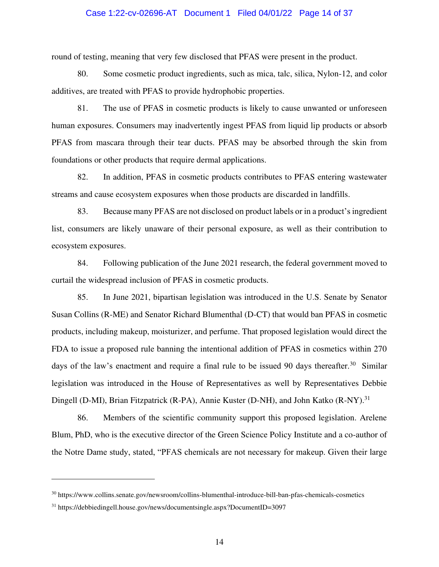#### Case 1:22-cv-02696-AT Document 1 Filed 04/01/22 Page 14 of 37

round of testing, meaning that very few disclosed that PFAS were present in the product.

80. Some cosmetic product ingredients, such as mica, talc, silica, Nylon-12, and color additives, are treated with PFAS to provide hydrophobic properties.

81. The use of PFAS in cosmetic products is likely to cause unwanted or unforeseen human exposures. Consumers may inadvertently ingest PFAS from liquid lip products or absorb PFAS from mascara through their tear ducts. PFAS may be absorbed through the skin from foundations or other products that require dermal applications.

82. In addition, PFAS in cosmetic products contributes to PFAS entering wastewater streams and cause ecosystem exposures when those products are discarded in landfills.

83. Because many PFAS are not disclosed on product labels or in a product's ingredient list, consumers are likely unaware of their personal exposure, as well as their contribution to ecosystem exposures.

84. Following publication of the June 2021 research, the federal government moved to curtail the widespread inclusion of PFAS in cosmetic products.

85. In June 2021, bipartisan legislation was introduced in the U.S. Senate by Senator Susan Collins (R-ME) and Senator Richard Blumenthal (D-CT) that would ban PFAS in cosmetic products, including makeup, moisturizer, and perfume. That proposed legislation would direct the FDA to issue a proposed rule banning the intentional addition of PFAS in cosmetics within 270 days of the law's enactment and require a final rule to be issued 90 days thereafter.<sup>30</sup> Similar legislation was introduced in the House of Representatives as well by Representatives Debbie Dingell (D-MI), Brian Fitzpatrick (R-PA), Annie Kuster (D-NH), and John Katko (R-NY).<sup>31</sup>

86. Members of the scientific community support this proposed legislation. Arelene Blum, PhD, who is the executive director of the Green Science Policy Institute and a co-author of the Notre Dame study, stated, "PFAS chemicals are not necessary for makeup. Given their large

<sup>30</sup> https://www.collins.senate.gov/newsroom/collins-blumenthal-introduce-bill-ban-pfas-chemicals-cosmetics

<sup>31</sup> https://debbiedingell.house.gov/news/documentsingle.aspx?DocumentID=3097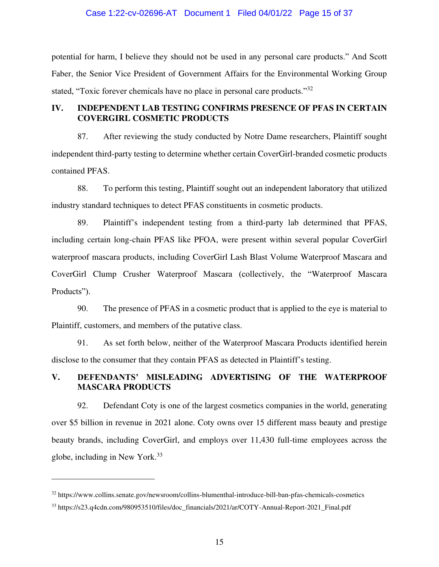#### Case 1:22-cv-02696-AT Document 1 Filed 04/01/22 Page 15 of 37

potential for harm, I believe they should not be used in any personal care products." And Scott Faber, the Senior Vice President of Government Affairs for the Environmental Working Group stated, "Toxic forever chemicals have no place in personal care products."<sup>32</sup>

# **IV. INDEPENDENT LAB TESTING CONFIRMS PRESENCE OF PFAS IN CERTAIN COVERGIRL COSMETIC PRODUCTS**

87. After reviewing the study conducted by Notre Dame researchers, Plaintiff sought independent third-party testing to determine whether certain CoverGirl-branded cosmetic products contained PFAS.

88. To perform this testing, Plaintiff sought out an independent laboratory that utilized industry standard techniques to detect PFAS constituents in cosmetic products.

89. Plaintiff's independent testing from a third-party lab determined that PFAS, including certain long-chain PFAS like PFOA, were present within several popular CoverGirl waterproof mascara products, including CoverGirl Lash Blast Volume Waterproof Mascara and CoverGirl Clump Crusher Waterproof Mascara (collectively, the "Waterproof Mascara Products").

90. The presence of PFAS in a cosmetic product that is applied to the eye is material to Plaintiff, customers, and members of the putative class.

91. As set forth below, neither of the Waterproof Mascara Products identified herein disclose to the consumer that they contain PFAS as detected in Plaintiff's testing.

# **V. DEFENDANTS' MISLEADING ADVERTISING OF THE WATERPROOF MASCARA PRODUCTS**

92. Defendant Coty is one of the largest cosmetics companies in the world, generating over \$5 billion in revenue in 2021 alone. Coty owns over 15 different mass beauty and prestige beauty brands, including CoverGirl, and employs over 11,430 full-time employees across the globe, including in New York.<sup>33</sup>

<sup>32</sup> https://www.collins.senate.gov/newsroom/collins-blumenthal-introduce-bill-ban-pfas-chemicals-cosmetics

<sup>33</sup> https://s23.q4cdn.com/980953510/files/doc\_financials/2021/ar/COTY-Annual-Report-2021\_Final.pdf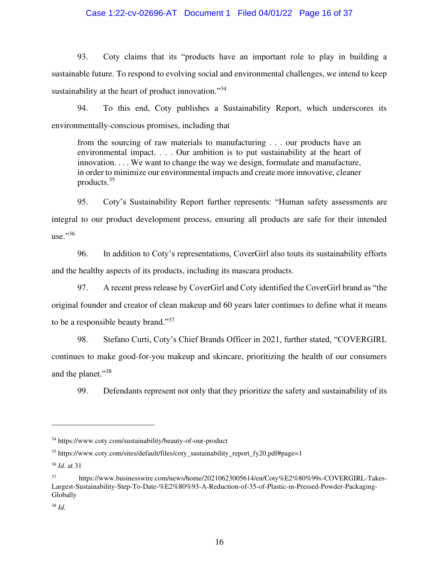### Case 1:22-cv-02696-AT Document 1 Filed 04/01/22 Page 16 of 37

93. Coty claims that its "products have an important role to play in building a sustainable future. To respond to evolving social and environmental challenges, we intend to keep sustainability at the heart of product innovation."<sup>34</sup>

94. To this end, Coty publishes a Sustainability Report, which underscores its environmentally-conscious promises, including that

from the sourcing of raw materials to manufacturing . . . our products have an environmental impact. . . . Our ambition is to put sustainability at the heart of innovation. . . . We want to change the way we design, formulate and manufacture, in order to minimize our environmental impacts and create more innovative, cleaner products.<sup>35</sup>

95. Coty's Sustainability Report further represents: "Human safety assessments are integral to our product development process, ensuring all products are safe for their intended use." $36$ 

96. In addition to Coty's representations, CoverGirl also touts its sustainability efforts and the healthy aspects of its products, including its mascara products.

97. A recent press release by CoverGirl and Coty identified the CoverGirl brand as "the original founder and creator of clean makeup and 60 years later continues to define what it means to be a responsible beauty brand."<sup>37</sup>

98. Stefano Curti, Coty's Chief Brands Officer in 2021, further stated, "COVERGIRL continues to make good-for-you makeup and skincare, prioritizing the health of our consumers and the planet."<sup>38</sup>

99. Defendants represent not only that they prioritize the safety and sustainability of its

<sup>34</sup> https://www.coty.com/sustainability/beauty-of-our-product

<sup>35</sup> https://www.coty.com/sites/default/files/coty\_sustainability\_report\_fy20.pdf#page=1

<sup>36</sup> *Id.* at 31

<sup>37</sup> https://www.businesswire.com/news/home/20210623005614/en/Coty%E2%80%99s-COVERGIRL-Takes-Largest-Sustainability-Step-To-Date-%E2%80%93-A-Reduction-of-35-of-Plastic-in-Pressed-Powder-Packaging-Globally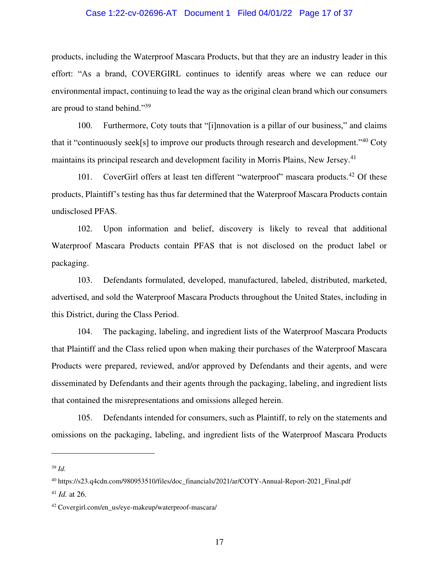#### Case 1:22-cv-02696-AT Document 1 Filed 04/01/22 Page 17 of 37

products, including the Waterproof Mascara Products, but that they are an industry leader in this effort: "As a brand, COVERGIRL continues to identify areas where we can reduce our environmental impact, continuing to lead the way as the original clean brand which our consumers are proud to stand behind."39

100. Furthermore, Coty touts that "[i]nnovation is a pillar of our business," and claims that it "continuously seek[s] to improve our products through research and development."<sup>40</sup> Coty maintains its principal research and development facility in Morris Plains, New Jersey.<sup>41</sup>

101. CoverGirl offers at least ten different "waterproof" mascara products.<sup>42</sup> Of these products, Plaintiff's testing has thus far determined that the Waterproof Mascara Products contain undisclosed PFAS.

102. Upon information and belief, discovery is likely to reveal that additional Waterproof Mascara Products contain PFAS that is not disclosed on the product label or packaging.

103. Defendants formulated, developed, manufactured, labeled, distributed, marketed, advertised, and sold the Waterproof Mascara Products throughout the United States, including in this District, during the Class Period.

104. The packaging, labeling, and ingredient lists of the Waterproof Mascara Products that Plaintiff and the Class relied upon when making their purchases of the Waterproof Mascara Products were prepared, reviewed, and/or approved by Defendants and their agents, and were disseminated by Defendants and their agents through the packaging, labeling, and ingredient lists that contained the misrepresentations and omissions alleged herein.

105. Defendants intended for consumers, such as Plaintiff, to rely on the statements and omissions on the packaging, labeling, and ingredient lists of the Waterproof Mascara Products

<sup>39</sup> *Id.*

<sup>40</sup> https://s23.q4cdn.com/980953510/files/doc\_financials/2021/ar/COTY-Annual-Report-2021\_Final.pdf

<sup>41</sup> *Id.* at 26.

<sup>42</sup> Covergirl.com/en\_us/eye-makeup/waterproof-mascara/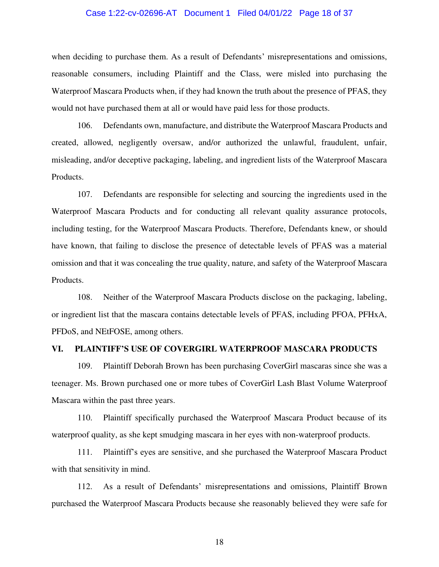#### Case 1:22-cv-02696-AT Document 1 Filed 04/01/22 Page 18 of 37

when deciding to purchase them. As a result of Defendants' misrepresentations and omissions, reasonable consumers, including Plaintiff and the Class, were misled into purchasing the Waterproof Mascara Products when, if they had known the truth about the presence of PFAS, they would not have purchased them at all or would have paid less for those products.

106. Defendants own, manufacture, and distribute the Waterproof Mascara Products and created, allowed, negligently oversaw, and/or authorized the unlawful, fraudulent, unfair, misleading, and/or deceptive packaging, labeling, and ingredient lists of the Waterproof Mascara Products.

107. Defendants are responsible for selecting and sourcing the ingredients used in the Waterproof Mascara Products and for conducting all relevant quality assurance protocols, including testing, for the Waterproof Mascara Products. Therefore, Defendants knew, or should have known, that failing to disclose the presence of detectable levels of PFAS was a material omission and that it was concealing the true quality, nature, and safety of the Waterproof Mascara Products.

108. Neither of the Waterproof Mascara Products disclose on the packaging, labeling, or ingredient list that the mascara contains detectable levels of PFAS, including PFOA, PFHxA, PFDoS, and NEtFOSE, among others.

#### **VI. PLAINTIFF'S USE OF COVERGIRL WATERPROOF MASCARA PRODUCTS**

109. Plaintiff Deborah Brown has been purchasing CoverGirl mascaras since she was a teenager. Ms. Brown purchased one or more tubes of CoverGirl Lash Blast Volume Waterproof Mascara within the past three years.

110. Plaintiff specifically purchased the Waterproof Mascara Product because of its waterproof quality, as she kept smudging mascara in her eyes with non-waterproof products.

111. Plaintiff's eyes are sensitive, and she purchased the Waterproof Mascara Product with that sensitivity in mind.

112. As a result of Defendants' misrepresentations and omissions, Plaintiff Brown purchased the Waterproof Mascara Products because she reasonably believed they were safe for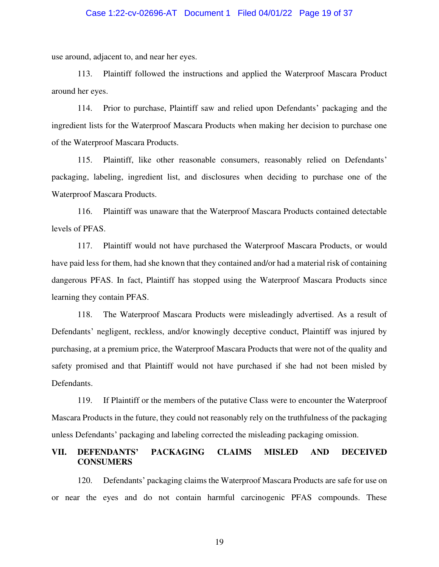#### Case 1:22-cv-02696-AT Document 1 Filed 04/01/22 Page 19 of 37

use around, adjacent to, and near her eyes.

113. Plaintiff followed the instructions and applied the Waterproof Mascara Product around her eyes.

114. Prior to purchase, Plaintiff saw and relied upon Defendants' packaging and the ingredient lists for the Waterproof Mascara Products when making her decision to purchase one of the Waterproof Mascara Products.

115. Plaintiff, like other reasonable consumers, reasonably relied on Defendants' packaging, labeling, ingredient list, and disclosures when deciding to purchase one of the Waterproof Mascara Products.

116. Plaintiff was unaware that the Waterproof Mascara Products contained detectable levels of PFAS.

117. Plaintiff would not have purchased the Waterproof Mascara Products, or would have paid less for them, had she known that they contained and/or had a material risk of containing dangerous PFAS. In fact, Plaintiff has stopped using the Waterproof Mascara Products since learning they contain PFAS.

118. The Waterproof Mascara Products were misleadingly advertised. As a result of Defendants' negligent, reckless, and/or knowingly deceptive conduct, Plaintiff was injured by purchasing, at a premium price, the Waterproof Mascara Products that were not of the quality and safety promised and that Plaintiff would not have purchased if she had not been misled by Defendants.

119. If Plaintiff or the members of the putative Class were to encounter the Waterproof Mascara Products in the future, they could not reasonably rely on the truthfulness of the packaging unless Defendants' packaging and labeling corrected the misleading packaging omission.

## **VII. DEFENDANTS' PACKAGING CLAIMS MISLED AND DECEIVED CONSUMERS**

120. Defendants' packaging claims the Waterproof Mascara Products are safe for use on or near the eyes and do not contain harmful carcinogenic PFAS compounds. These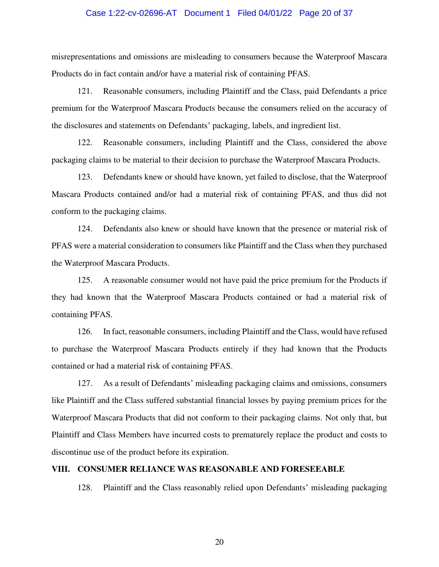#### Case 1:22-cv-02696-AT Document 1 Filed 04/01/22 Page 20 of 37

misrepresentations and omissions are misleading to consumers because the Waterproof Mascara Products do in fact contain and/or have a material risk of containing PFAS.

121. Reasonable consumers, including Plaintiff and the Class, paid Defendants a price premium for the Waterproof Mascara Products because the consumers relied on the accuracy of the disclosures and statements on Defendants' packaging, labels, and ingredient list.

122. Reasonable consumers, including Plaintiff and the Class, considered the above packaging claims to be material to their decision to purchase the Waterproof Mascara Products.

123. Defendants knew or should have known, yet failed to disclose, that the Waterproof Mascara Products contained and/or had a material risk of containing PFAS, and thus did not conform to the packaging claims.

124. Defendants also knew or should have known that the presence or material risk of PFAS were a material consideration to consumers like Plaintiff and the Class when they purchased the Waterproof Mascara Products.

125. A reasonable consumer would not have paid the price premium for the Products if they had known that the Waterproof Mascara Products contained or had a material risk of containing PFAS.

126. In fact, reasonable consumers, including Plaintiff and the Class, would have refused to purchase the Waterproof Mascara Products entirely if they had known that the Products contained or had a material risk of containing PFAS.

127. As a result of Defendants' misleading packaging claims and omissions, consumers like Plaintiff and the Class suffered substantial financial losses by paying premium prices for the Waterproof Mascara Products that did not conform to their packaging claims. Not only that, but Plaintiff and Class Members have incurred costs to prematurely replace the product and costs to discontinue use of the product before its expiration.

## **VIII. CONSUMER RELIANCE WAS REASONABLE AND FORESEEABLE**

128. Plaintiff and the Class reasonably relied upon Defendants' misleading packaging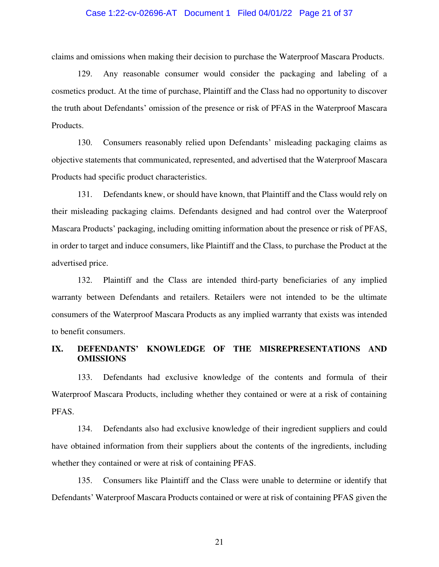#### Case 1:22-cv-02696-AT Document 1 Filed 04/01/22 Page 21 of 37

claims and omissions when making their decision to purchase the Waterproof Mascara Products.

129. Any reasonable consumer would consider the packaging and labeling of a cosmetics product. At the time of purchase, Plaintiff and the Class had no opportunity to discover the truth about Defendants' omission of the presence or risk of PFAS in the Waterproof Mascara Products.

130. Consumers reasonably relied upon Defendants' misleading packaging claims as objective statements that communicated, represented, and advertised that the Waterproof Mascara Products had specific product characteristics.

131. Defendants knew, or should have known, that Plaintiff and the Class would rely on their misleading packaging claims. Defendants designed and had control over the Waterproof Mascara Products' packaging, including omitting information about the presence or risk of PFAS, in order to target and induce consumers, like Plaintiff and the Class, to purchase the Product at the advertised price.

132. Plaintiff and the Class are intended third-party beneficiaries of any implied warranty between Defendants and retailers. Retailers were not intended to be the ultimate consumers of the Waterproof Mascara Products as any implied warranty that exists was intended to benefit consumers.

## **IX. DEFENDANTS' KNOWLEDGE OF THE MISREPRESENTATIONS AND OMISSIONS**

133. Defendants had exclusive knowledge of the contents and formula of their Waterproof Mascara Products, including whether they contained or were at a risk of containing PFAS.

134. Defendants also had exclusive knowledge of their ingredient suppliers and could have obtained information from their suppliers about the contents of the ingredients, including whether they contained or were at risk of containing PFAS.

135. Consumers like Plaintiff and the Class were unable to determine or identify that Defendants' Waterproof Mascara Products contained or were at risk of containing PFAS given the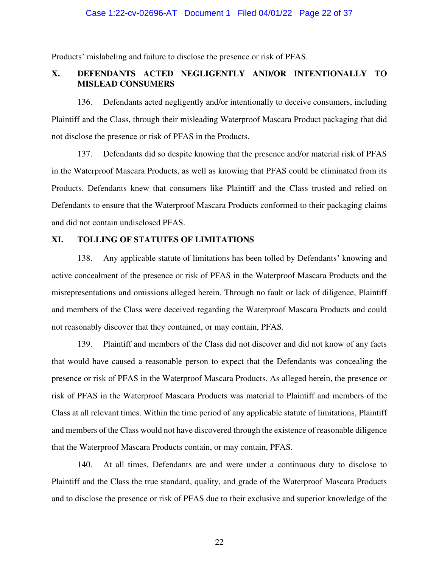#### Case 1:22-cv-02696-AT Document 1 Filed 04/01/22 Page 22 of 37

Products' mislabeling and failure to disclose the presence or risk of PFAS.

## **X. DEFENDANTS ACTED NEGLIGENTLY AND/OR INTENTIONALLY TO MISLEAD CONSUMERS**

136. Defendants acted negligently and/or intentionally to deceive consumers, including Plaintiff and the Class, through their misleading Waterproof Mascara Product packaging that did not disclose the presence or risk of PFAS in the Products.

137. Defendants did so despite knowing that the presence and/or material risk of PFAS in the Waterproof Mascara Products, as well as knowing that PFAS could be eliminated from its Products. Defendants knew that consumers like Plaintiff and the Class trusted and relied on Defendants to ensure that the Waterproof Mascara Products conformed to their packaging claims and did not contain undisclosed PFAS.

## **XI. TOLLING OF STATUTES OF LIMITATIONS**

138. Any applicable statute of limitations has been tolled by Defendants' knowing and active concealment of the presence or risk of PFAS in the Waterproof Mascara Products and the misrepresentations and omissions alleged herein. Through no fault or lack of diligence, Plaintiff and members of the Class were deceived regarding the Waterproof Mascara Products and could not reasonably discover that they contained, or may contain, PFAS.

139. Plaintiff and members of the Class did not discover and did not know of any facts that would have caused a reasonable person to expect that the Defendants was concealing the presence or risk of PFAS in the Waterproof Mascara Products. As alleged herein, the presence or risk of PFAS in the Waterproof Mascara Products was material to Plaintiff and members of the Class at all relevant times. Within the time period of any applicable statute of limitations, Plaintiff and members of the Class would not have discovered through the existence of reasonable diligence that the Waterproof Mascara Products contain, or may contain, PFAS.

140. At all times, Defendants are and were under a continuous duty to disclose to Plaintiff and the Class the true standard, quality, and grade of the Waterproof Mascara Products and to disclose the presence or risk of PFAS due to their exclusive and superior knowledge of the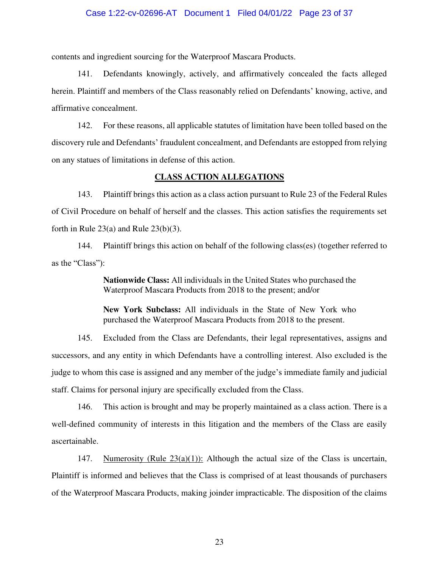#### Case 1:22-cv-02696-AT Document 1 Filed 04/01/22 Page 23 of 37

contents and ingredient sourcing for the Waterproof Mascara Products.

141. Defendants knowingly, actively, and affirmatively concealed the facts alleged herein. Plaintiff and members of the Class reasonably relied on Defendants' knowing, active, and affirmative concealment.

142. For these reasons, all applicable statutes of limitation have been tolled based on the discovery rule and Defendants' fraudulent concealment, and Defendants are estopped from relying on any statues of limitations in defense of this action.

#### **CLASS ACTION ALLEGATIONS**

143. Plaintiff brings this action as a class action pursuant to Rule 23 of the Federal Rules of Civil Procedure on behalf of herself and the classes. This action satisfies the requirements set forth in Rule  $23(a)$  and Rule  $23(b)(3)$ .

144. Plaintiff brings this action on behalf of the following class(es) (together referred to as the "Class"):

> **Nationwide Class:** All individuals in the United States who purchased the Waterproof Mascara Products from 2018 to the present; and/or

> **New York Subclass:** All individuals in the State of New York who purchased the Waterproof Mascara Products from 2018 to the present.

145. Excluded from the Class are Defendants, their legal representatives, assigns and successors, and any entity in which Defendants have a controlling interest. Also excluded is the judge to whom this case is assigned and any member of the judge's immediate family and judicial staff. Claims for personal injury are specifically excluded from the Class.

146. This action is brought and may be properly maintained as a class action. There is a well-defined community of interests in this litigation and the members of the Class are easily ascertainable.

147. Numerosity (Rule  $23(a)(1)$ ): Although the actual size of the Class is uncertain, Plaintiff is informed and believes that the Class is comprised of at least thousands of purchasers of the Waterproof Mascara Products, making joinder impracticable. The disposition of the claims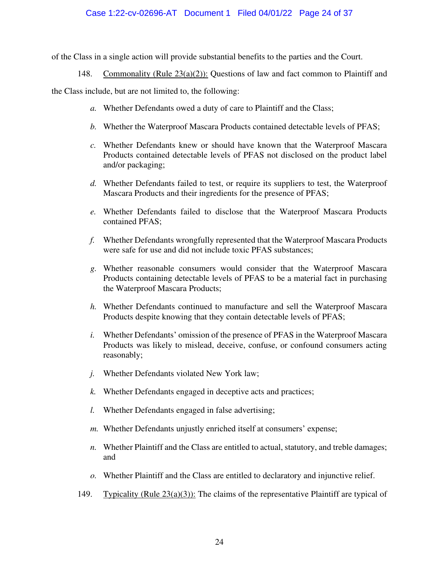# Case 1:22-cv-02696-AT Document 1 Filed 04/01/22 Page 24 of 37

of the Class in a single action will provide substantial benefits to the parties and the Court.

148. Commonality (Rule  $23(a)(2)$ ): Questions of law and fact common to Plaintiff and

the Class include, but are not limited to, the following:

- *a.* Whether Defendants owed a duty of care to Plaintiff and the Class;
- *b.* Whether the Waterproof Mascara Products contained detectable levels of PFAS;
- *c.* Whether Defendants knew or should have known that the Waterproof Mascara Products contained detectable levels of PFAS not disclosed on the product label and/or packaging;
- *d.* Whether Defendants failed to test, or require its suppliers to test, the Waterproof Mascara Products and their ingredients for the presence of PFAS;
- *e.* Whether Defendants failed to disclose that the Waterproof Mascara Products contained PFAS;
- *f.* Whether Defendants wrongfully represented that the Waterproof Mascara Products were safe for use and did not include toxic PFAS substances;
- *g.* Whether reasonable consumers would consider that the Waterproof Mascara Products containing detectable levels of PFAS to be a material fact in purchasing the Waterproof Mascara Products;
- *h.* Whether Defendants continued to manufacture and sell the Waterproof Mascara Products despite knowing that they contain detectable levels of PFAS;
- *i.* Whether Defendants' omission of the presence of PFAS in the Waterproof Mascara Products was likely to mislead, deceive, confuse, or confound consumers acting reasonably;
- *j.* Whether Defendants violated New York law;
- *k.* Whether Defendants engaged in deceptive acts and practices;
- *l.* Whether Defendants engaged in false advertising;
- *m.* Whether Defendants unjustly enriched itself at consumers' expense;
- *n.* Whether Plaintiff and the Class are entitled to actual, statutory, and treble damages; and
- *o.* Whether Plaintiff and the Class are entitled to declaratory and injunctive relief.
- 149. Typicality (Rule 23(a)(3)): The claims of the representative Plaintiff are typical of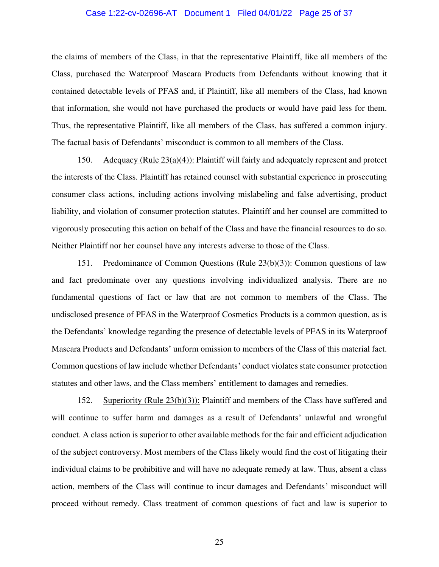#### Case 1:22-cv-02696-AT Document 1 Filed 04/01/22 Page 25 of 37

the claims of members of the Class, in that the representative Plaintiff, like all members of the Class, purchased the Waterproof Mascara Products from Defendants without knowing that it contained detectable levels of PFAS and, if Plaintiff, like all members of the Class, had known that information, she would not have purchased the products or would have paid less for them. Thus, the representative Plaintiff, like all members of the Class, has suffered a common injury. The factual basis of Defendants' misconduct is common to all members of the Class.

150. Adequacy (Rule 23(a)(4)): Plaintiff will fairly and adequately represent and protect the interests of the Class. Plaintiff has retained counsel with substantial experience in prosecuting consumer class actions, including actions involving mislabeling and false advertising, product liability, and violation of consumer protection statutes. Plaintiff and her counsel are committed to vigorously prosecuting this action on behalf of the Class and have the financial resources to do so. Neither Plaintiff nor her counsel have any interests adverse to those of the Class.

151. Predominance of Common Questions (Rule 23(b)(3)): Common questions of law and fact predominate over any questions involving individualized analysis. There are no fundamental questions of fact or law that are not common to members of the Class. The undisclosed presence of PFAS in the Waterproof Cosmetics Products is a common question, as is the Defendants' knowledge regarding the presence of detectable levels of PFAS in its Waterproof Mascara Products and Defendants' unform omission to members of the Class of this material fact. Common questions of law include whether Defendants' conduct violates state consumer protection statutes and other laws, and the Class members' entitlement to damages and remedies.

152. Superiority (Rule 23(b)(3)): Plaintiff and members of the Class have suffered and will continue to suffer harm and damages as a result of Defendants' unlawful and wrongful conduct. A class action is superior to other available methods for the fair and efficient adjudication of the subject controversy. Most members of the Class likely would find the cost of litigating their individual claims to be prohibitive and will have no adequate remedy at law. Thus, absent a class action, members of the Class will continue to incur damages and Defendants' misconduct will proceed without remedy. Class treatment of common questions of fact and law is superior to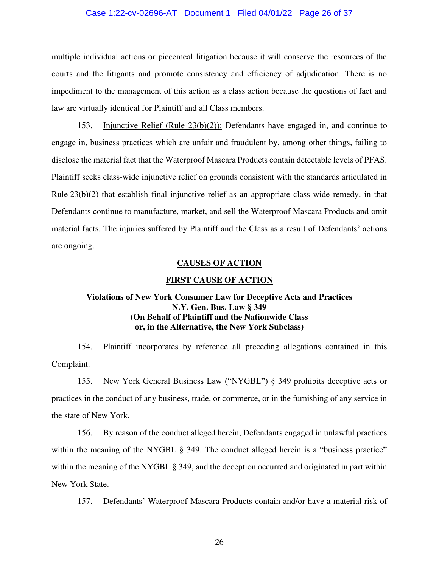#### Case 1:22-cv-02696-AT Document 1 Filed 04/01/22 Page 26 of 37

multiple individual actions or piecemeal litigation because it will conserve the resources of the courts and the litigants and promote consistency and efficiency of adjudication. There is no impediment to the management of this action as a class action because the questions of fact and law are virtually identical for Plaintiff and all Class members.

153. Injunctive Relief (Rule 23(b)(2)): Defendants have engaged in, and continue to engage in, business practices which are unfair and fraudulent by, among other things, failing to disclose the material fact that the Waterproof Mascara Products contain detectable levels of PFAS. Plaintiff seeks class-wide injunctive relief on grounds consistent with the standards articulated in Rule  $23(b)(2)$  that establish final injunctive relief as an appropriate class-wide remedy, in that Defendants continue to manufacture, market, and sell the Waterproof Mascara Products and omit material facts. The injuries suffered by Plaintiff and the Class as a result of Defendants' actions are ongoing.

#### **CAUSES OF ACTION**

#### **FIRST CAUSE OF ACTION**

# **Violations of New York Consumer Law for Deceptive Acts and Practices N.Y. Gen. Bus. Law § 349 (On Behalf of Plaintiff and the Nationwide Class or, in the Alternative, the New York Subclass)**

154. Plaintiff incorporates by reference all preceding allegations contained in this Complaint.

155. New York General Business Law ("NYGBL") § 349 prohibits deceptive acts or practices in the conduct of any business, trade, or commerce, or in the furnishing of any service in the state of New York.

156. By reason of the conduct alleged herein, Defendants engaged in unlawful practices within the meaning of the NYGBL § 349. The conduct alleged herein is a "business practice" within the meaning of the NYGBL § 349, and the deception occurred and originated in part within New York State.

157. Defendants' Waterproof Mascara Products contain and/or have a material risk of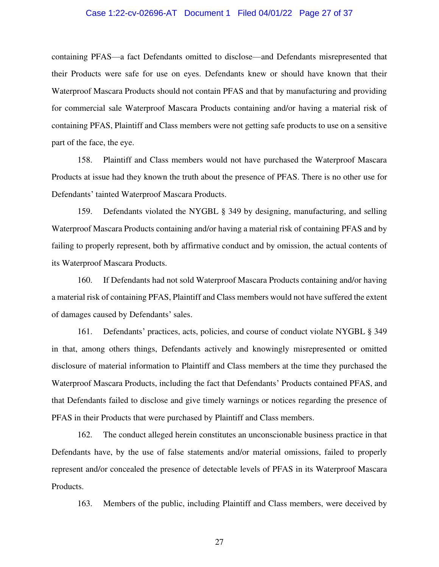#### Case 1:22-cv-02696-AT Document 1 Filed 04/01/22 Page 27 of 37

containing PFAS—a fact Defendants omitted to disclose—and Defendants misrepresented that their Products were safe for use on eyes. Defendants knew or should have known that their Waterproof Mascara Products should not contain PFAS and that by manufacturing and providing for commercial sale Waterproof Mascara Products containing and/or having a material risk of containing PFAS, Plaintiff and Class members were not getting safe products to use on a sensitive part of the face, the eye.

158. Plaintiff and Class members would not have purchased the Waterproof Mascara Products at issue had they known the truth about the presence of PFAS. There is no other use for Defendants' tainted Waterproof Mascara Products.

159. Defendants violated the NYGBL § 349 by designing, manufacturing, and selling Waterproof Mascara Products containing and/or having a material risk of containing PFAS and by failing to properly represent, both by affirmative conduct and by omission, the actual contents of its Waterproof Mascara Products.

160. If Defendants had not sold Waterproof Mascara Products containing and/or having a material risk of containing PFAS, Plaintiff and Class members would not have suffered the extent of damages caused by Defendants' sales.

161. Defendants' practices, acts, policies, and course of conduct violate NYGBL § 349 in that, among others things, Defendants actively and knowingly misrepresented or omitted disclosure of material information to Plaintiff and Class members at the time they purchased the Waterproof Mascara Products, including the fact that Defendants' Products contained PFAS, and that Defendants failed to disclose and give timely warnings or notices regarding the presence of PFAS in their Products that were purchased by Plaintiff and Class members.

162. The conduct alleged herein constitutes an unconscionable business practice in that Defendants have, by the use of false statements and/or material omissions, failed to properly represent and/or concealed the presence of detectable levels of PFAS in its Waterproof Mascara Products.

163. Members of the public, including Plaintiff and Class members, were deceived by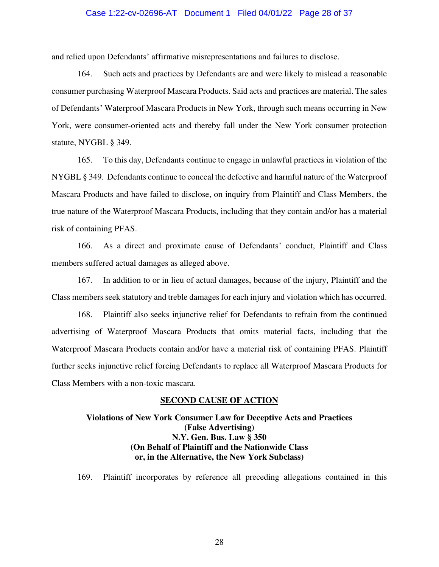#### Case 1:22-cv-02696-AT Document 1 Filed 04/01/22 Page 28 of 37

and relied upon Defendants' affirmative misrepresentations and failures to disclose.

164. Such acts and practices by Defendants are and were likely to mislead a reasonable consumer purchasing Waterproof Mascara Products. Said acts and practices are material. The sales of Defendants' Waterproof Mascara Products in New York, through such means occurring in New York, were consumer-oriented acts and thereby fall under the New York consumer protection statute, NYGBL § 349.

165. To this day, Defendants continue to engage in unlawful practices in violation of the NYGBL § 349. Defendants continue to conceal the defective and harmful nature of the Waterproof Mascara Products and have failed to disclose, on inquiry from Plaintiff and Class Members, the true nature of the Waterproof Mascara Products, including that they contain and/or has a material risk of containing PFAS.

166. As a direct and proximate cause of Defendants' conduct, Plaintiff and Class members suffered actual damages as alleged above.

167. In addition to or in lieu of actual damages, because of the injury, Plaintiff and the Class members seek statutory and treble damages for each injury and violation which has occurred.

168. Plaintiff also seeks injunctive relief for Defendants to refrain from the continued advertising of Waterproof Mascara Products that omits material facts, including that the Waterproof Mascara Products contain and/or have a material risk of containing PFAS. Plaintiff further seeks injunctive relief forcing Defendants to replace all Waterproof Mascara Products for Class Members with a non-toxic mascara.

#### **SECOND CAUSE OF ACTION**

# **Violations of New York Consumer Law for Deceptive Acts and Practices (False Advertising) N.Y. Gen. Bus. Law § 350 (On Behalf of Plaintiff and the Nationwide Class or, in the Alternative, the New York Subclass)**

169. Plaintiff incorporates by reference all preceding allegations contained in this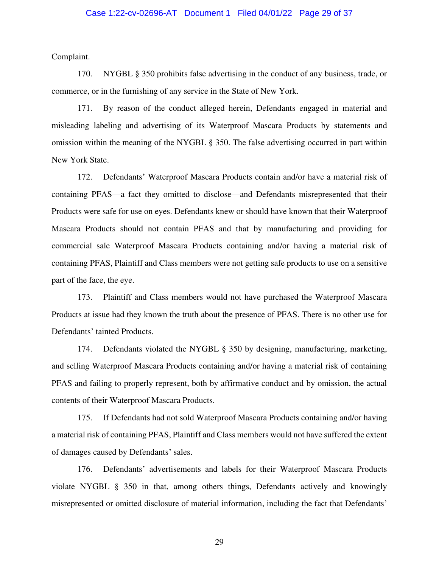#### Case 1:22-cv-02696-AT Document 1 Filed 04/01/22 Page 29 of 37

Complaint.

170. NYGBL § 350 prohibits false advertising in the conduct of any business, trade, or commerce, or in the furnishing of any service in the State of New York.

171. By reason of the conduct alleged herein, Defendants engaged in material and misleading labeling and advertising of its Waterproof Mascara Products by statements and omission within the meaning of the NYGBL § 350. The false advertising occurred in part within New York State.

172. Defendants' Waterproof Mascara Products contain and/or have a material risk of containing PFAS—a fact they omitted to disclose—and Defendants misrepresented that their Products were safe for use on eyes. Defendants knew or should have known that their Waterproof Mascara Products should not contain PFAS and that by manufacturing and providing for commercial sale Waterproof Mascara Products containing and/or having a material risk of containing PFAS, Plaintiff and Class members were not getting safe products to use on a sensitive part of the face, the eye.

173. Plaintiff and Class members would not have purchased the Waterproof Mascara Products at issue had they known the truth about the presence of PFAS. There is no other use for Defendants' tainted Products.

174. Defendants violated the NYGBL § 350 by designing, manufacturing, marketing, and selling Waterproof Mascara Products containing and/or having a material risk of containing PFAS and failing to properly represent, both by affirmative conduct and by omission, the actual contents of their Waterproof Mascara Products.

175. If Defendants had not sold Waterproof Mascara Products containing and/or having a material risk of containing PFAS, Plaintiff and Class members would not have suffered the extent of damages caused by Defendants' sales.

176. Defendants' advertisements and labels for their Waterproof Mascara Products violate NYGBL § 350 in that, among others things, Defendants actively and knowingly misrepresented or omitted disclosure of material information, including the fact that Defendants'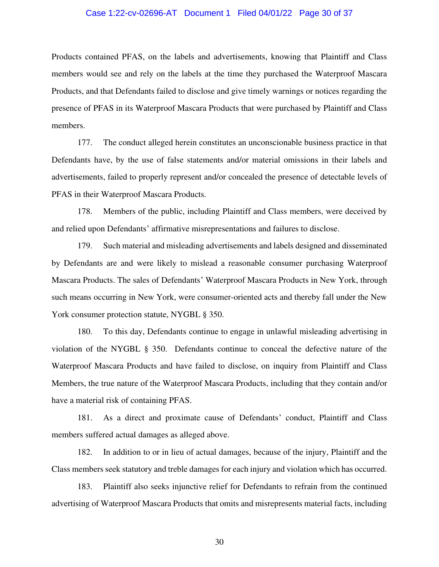#### Case 1:22-cv-02696-AT Document 1 Filed 04/01/22 Page 30 of 37

Products contained PFAS, on the labels and advertisements, knowing that Plaintiff and Class members would see and rely on the labels at the time they purchased the Waterproof Mascara Products, and that Defendants failed to disclose and give timely warnings or notices regarding the presence of PFAS in its Waterproof Mascara Products that were purchased by Plaintiff and Class members.

177. The conduct alleged herein constitutes an unconscionable business practice in that Defendants have, by the use of false statements and/or material omissions in their labels and advertisements, failed to properly represent and/or concealed the presence of detectable levels of PFAS in their Waterproof Mascara Products.

178. Members of the public, including Plaintiff and Class members, were deceived by and relied upon Defendants' affirmative misrepresentations and failures to disclose.

179. Such material and misleading advertisements and labels designed and disseminated by Defendants are and were likely to mislead a reasonable consumer purchasing Waterproof Mascara Products. The sales of Defendants' Waterproof Mascara Products in New York, through such means occurring in New York, were consumer-oriented acts and thereby fall under the New York consumer protection statute, NYGBL § 350.

180. To this day, Defendants continue to engage in unlawful misleading advertising in violation of the NYGBL § 350. Defendants continue to conceal the defective nature of the Waterproof Mascara Products and have failed to disclose, on inquiry from Plaintiff and Class Members, the true nature of the Waterproof Mascara Products, including that they contain and/or have a material risk of containing PFAS.

181. As a direct and proximate cause of Defendants' conduct, Plaintiff and Class members suffered actual damages as alleged above.

182. In addition to or in lieu of actual damages, because of the injury, Plaintiff and the Class members seek statutory and treble damages for each injury and violation which has occurred.

183. Plaintiff also seeks injunctive relief for Defendants to refrain from the continued advertising of Waterproof Mascara Products that omits and misrepresents material facts, including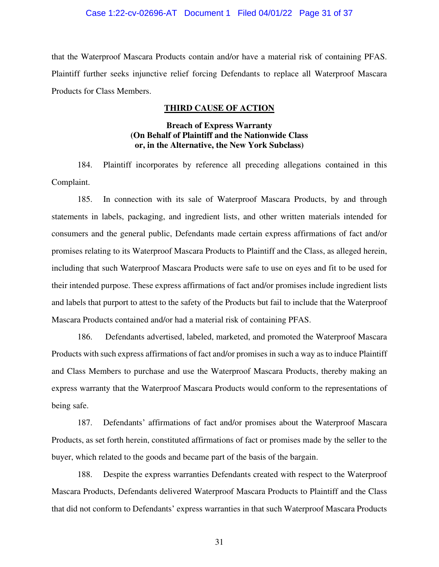#### Case 1:22-cv-02696-AT Document 1 Filed 04/01/22 Page 31 of 37

that the Waterproof Mascara Products contain and/or have a material risk of containing PFAS. Plaintiff further seeks injunctive relief forcing Defendants to replace all Waterproof Mascara Products for Class Members.

## **THIRD CAUSE OF ACTION**

## **Breach of Express Warranty (On Behalf of Plaintiff and the Nationwide Class or, in the Alternative, the New York Subclass)**

184. Plaintiff incorporates by reference all preceding allegations contained in this Complaint.

185. In connection with its sale of Waterproof Mascara Products, by and through statements in labels, packaging, and ingredient lists, and other written materials intended for consumers and the general public, Defendants made certain express affirmations of fact and/or promises relating to its Waterproof Mascara Products to Plaintiff and the Class, as alleged herein, including that such Waterproof Mascara Products were safe to use on eyes and fit to be used for their intended purpose. These express affirmations of fact and/or promises include ingredient lists and labels that purport to attest to the safety of the Products but fail to include that the Waterproof Mascara Products contained and/or had a material risk of containing PFAS.

186. Defendants advertised, labeled, marketed, and promoted the Waterproof Mascara Products with such express affirmations of fact and/or promises in such a way as to induce Plaintiff and Class Members to purchase and use the Waterproof Mascara Products, thereby making an express warranty that the Waterproof Mascara Products would conform to the representations of being safe.

187. Defendants' affirmations of fact and/or promises about the Waterproof Mascara Products, as set forth herein, constituted affirmations of fact or promises made by the seller to the buyer, which related to the goods and became part of the basis of the bargain.

188. Despite the express warranties Defendants created with respect to the Waterproof Mascara Products, Defendants delivered Waterproof Mascara Products to Plaintiff and the Class that did not conform to Defendants' express warranties in that such Waterproof Mascara Products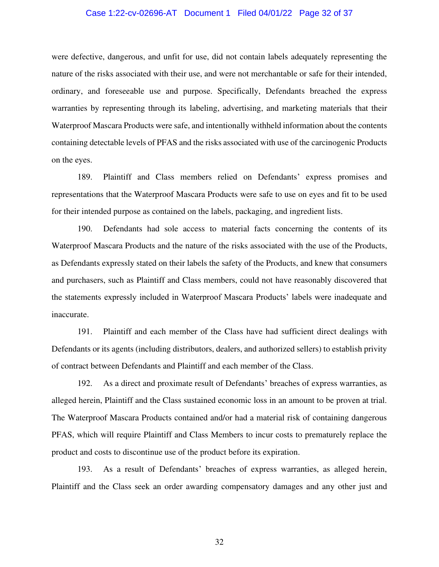#### Case 1:22-cv-02696-AT Document 1 Filed 04/01/22 Page 32 of 37

were defective, dangerous, and unfit for use, did not contain labels adequately representing the nature of the risks associated with their use, and were not merchantable or safe for their intended, ordinary, and foreseeable use and purpose. Specifically, Defendants breached the express warranties by representing through its labeling, advertising, and marketing materials that their Waterproof Mascara Products were safe, and intentionally withheld information about the contents containing detectable levels of PFAS and the risks associated with use of the carcinogenic Products on the eyes.

189. Plaintiff and Class members relied on Defendants' express promises and representations that the Waterproof Mascara Products were safe to use on eyes and fit to be used for their intended purpose as contained on the labels, packaging, and ingredient lists.

190. Defendants had sole access to material facts concerning the contents of its Waterproof Mascara Products and the nature of the risks associated with the use of the Products, as Defendants expressly stated on their labels the safety of the Products, and knew that consumers and purchasers, such as Plaintiff and Class members, could not have reasonably discovered that the statements expressly included in Waterproof Mascara Products' labels were inadequate and inaccurate.

191. Plaintiff and each member of the Class have had sufficient direct dealings with Defendants or its agents (including distributors, dealers, and authorized sellers) to establish privity of contract between Defendants and Plaintiff and each member of the Class.

192. As a direct and proximate result of Defendants' breaches of express warranties, as alleged herein, Plaintiff and the Class sustained economic loss in an amount to be proven at trial. The Waterproof Mascara Products contained and/or had a material risk of containing dangerous PFAS, which will require Plaintiff and Class Members to incur costs to prematurely replace the product and costs to discontinue use of the product before its expiration.

193. As a result of Defendants' breaches of express warranties, as alleged herein, Plaintiff and the Class seek an order awarding compensatory damages and any other just and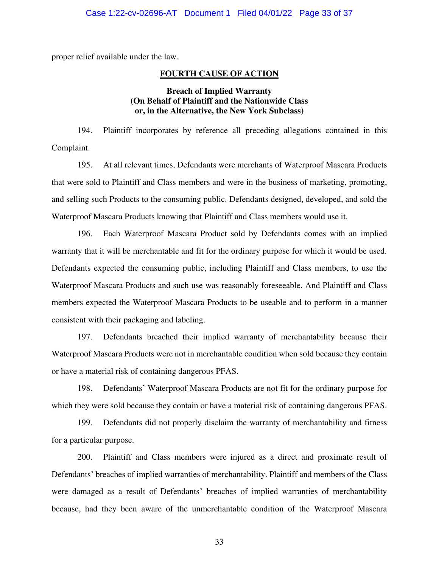proper relief available under the law.

#### **FOURTH CAUSE OF ACTION**

# **Breach of Implied Warranty (On Behalf of Plaintiff and the Nationwide Class or, in the Alternative, the New York Subclass)**

194. Plaintiff incorporates by reference all preceding allegations contained in this Complaint.

195. At all relevant times, Defendants were merchants of Waterproof Mascara Products that were sold to Plaintiff and Class members and were in the business of marketing, promoting, and selling such Products to the consuming public. Defendants designed, developed, and sold the Waterproof Mascara Products knowing that Plaintiff and Class members would use it.

196. Each Waterproof Mascara Product sold by Defendants comes with an implied warranty that it will be merchantable and fit for the ordinary purpose for which it would be used. Defendants expected the consuming public, including Plaintiff and Class members, to use the Waterproof Mascara Products and such use was reasonably foreseeable. And Plaintiff and Class members expected the Waterproof Mascara Products to be useable and to perform in a manner consistent with their packaging and labeling.

197. Defendants breached their implied warranty of merchantability because their Waterproof Mascara Products were not in merchantable condition when sold because they contain or have a material risk of containing dangerous PFAS.

198. Defendants' Waterproof Mascara Products are not fit for the ordinary purpose for which they were sold because they contain or have a material risk of containing dangerous PFAS.

199. Defendants did not properly disclaim the warranty of merchantability and fitness for a particular purpose.

200. Plaintiff and Class members were injured as a direct and proximate result of Defendants' breaches of implied warranties of merchantability. Plaintiff and members of the Class were damaged as a result of Defendants' breaches of implied warranties of merchantability because, had they been aware of the unmerchantable condition of the Waterproof Mascara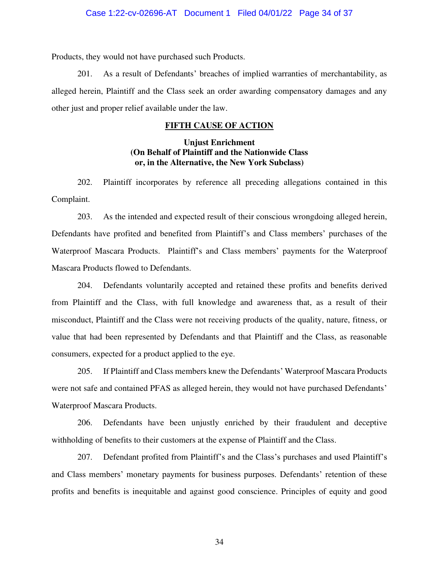#### Case 1:22-cv-02696-AT Document 1 Filed 04/01/22 Page 34 of 37

Products, they would not have purchased such Products.

201. As a result of Defendants' breaches of implied warranties of merchantability, as alleged herein, Plaintiff and the Class seek an order awarding compensatory damages and any other just and proper relief available under the law.

## **FIFTH CAUSE OF ACTION**

## **Unjust Enrichment (On Behalf of Plaintiff and the Nationwide Class or, in the Alternative, the New York Subclass)**

202. Plaintiff incorporates by reference all preceding allegations contained in this Complaint.

203. As the intended and expected result of their conscious wrongdoing alleged herein, Defendants have profited and benefited from Plaintiff's and Class members' purchases of the Waterproof Mascara Products. Plaintiff's and Class members' payments for the Waterproof Mascara Products flowed to Defendants.

204. Defendants voluntarily accepted and retained these profits and benefits derived from Plaintiff and the Class, with full knowledge and awareness that, as a result of their misconduct, Plaintiff and the Class were not receiving products of the quality, nature, fitness, or value that had been represented by Defendants and that Plaintiff and the Class, as reasonable consumers, expected for a product applied to the eye.

205. If Plaintiff and Class members knew the Defendants' Waterproof Mascara Products were not safe and contained PFAS as alleged herein, they would not have purchased Defendants' Waterproof Mascara Products.

206. Defendants have been unjustly enriched by their fraudulent and deceptive withholding of benefits to their customers at the expense of Plaintiff and the Class.

207. Defendant profited from Plaintiff's and the Class's purchases and used Plaintiff's and Class members' monetary payments for business purposes. Defendants' retention of these profits and benefits is inequitable and against good conscience. Principles of equity and good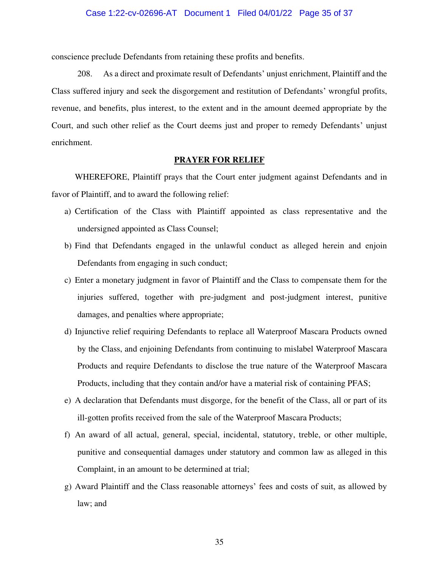#### Case 1:22-cv-02696-AT Document 1 Filed 04/01/22 Page 35 of 37

conscience preclude Defendants from retaining these profits and benefits.

208. As a direct and proximate result of Defendants' unjust enrichment, Plaintiff and the Class suffered injury and seek the disgorgement and restitution of Defendants' wrongful profits, revenue, and benefits, plus interest, to the extent and in the amount deemed appropriate by the Court, and such other relief as the Court deems just and proper to remedy Defendants' unjust enrichment.

#### **PRAYER FOR RELIEF**

 WHEREFORE, Plaintiff prays that the Court enter judgment against Defendants and in favor of Plaintiff, and to award the following relief:

- a) Certification of the Class with Plaintiff appointed as class representative and the undersigned appointed as Class Counsel;
- b) Find that Defendants engaged in the unlawful conduct as alleged herein and enjoin Defendants from engaging in such conduct;
- c) Enter a monetary judgment in favor of Plaintiff and the Class to compensate them for the injuries suffered, together with pre-judgment and post-judgment interest, punitive damages, and penalties where appropriate;
- d) Injunctive relief requiring Defendants to replace all Waterproof Mascara Products owned by the Class, and enjoining Defendants from continuing to mislabel Waterproof Mascara Products and require Defendants to disclose the true nature of the Waterproof Mascara Products, including that they contain and/or have a material risk of containing PFAS;
- e) A declaration that Defendants must disgorge, for the benefit of the Class, all or part of its ill-gotten profits received from the sale of the Waterproof Mascara Products;
- f) An award of all actual, general, special, incidental, statutory, treble, or other multiple, punitive and consequential damages under statutory and common law as alleged in this Complaint, in an amount to be determined at trial;
- g) Award Plaintiff and the Class reasonable attorneys' fees and costs of suit, as allowed by law; and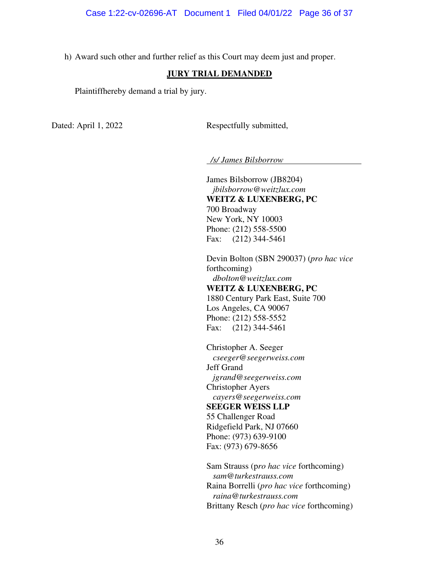h) Award such other and further relief as this Court may deem just and proper.

### **JURY TRIAL DEMANDED**

Plaintiffhereby demand a trial by jury.

Dated: April 1, 2022 Respectfully submitted,

 */s/ James Bilsborrow*

James Bilsborrow (JB8204)  *jbilsborrow@weitzlux.com* **WEITZ & LUXENBERG, PC**  700 Broadway New York, NY 10003 Phone: (212) 558-5500 Fax: (212) 344-5461

Devin Bolton (SBN 290037) (*pro hac vice*  forthcoming) *dbolton@weitzlux.com*  **WEITZ & LUXENBERG, PC**  1880 Century Park East, Suite 700 Los Angeles, CA 90067 Phone: (212) 558-5552 Fax: (212) 344-5461

Christopher A. Seeger *cseeger@seegerweiss.com*  Jeff Grand *jgrand@seegerweiss.com*  Christopher Ayers *cayers@seegerweiss.com*  **SEEGER WEISS LLP**  55 Challenger Road Ridgefield Park, NJ 07660 Phone: (973) 639-9100 Fax: (973) 679-8656

Sam Strauss (p*ro hac vice* forthcoming)  *[sam@turkestrauss.com](mailto:sam@turkestrauss.com)* Raina Borrelli (*pro hac vice* forthcoming)  *raina@turkestrauss.com*  Brittany Resch (*pro hac vice* forthcoming)